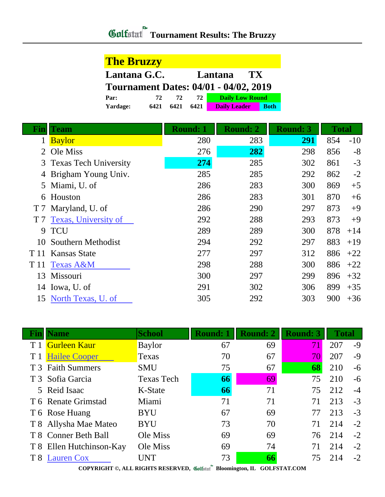## *Gulfatat* Tournament Results: The Bruzzy

| <b>The Bruzzy</b>                            |      |      |      |                        |             |  |  |
|----------------------------------------------|------|------|------|------------------------|-------------|--|--|
| Lantana G.C.<br>Lantana<br>TX.               |      |      |      |                        |             |  |  |
| <b>Tournament Dates: 04/01 - 04/02, 2019</b> |      |      |      |                        |             |  |  |
| Par:                                         | 72.  | 72   | 72   | <b>Daily Low Round</b> |             |  |  |
| Yardage:                                     | 6421 | 6421 | 6421 | <b>Daily Leader</b>    | <b>Both</b> |  |  |

| Fin            | <b>Team</b>             | <b>Round: 1</b> | <b>Round: 2</b> | <b>Round: 3</b> | <b>Total</b> |       |
|----------------|-------------------------|-----------------|-----------------|-----------------|--------------|-------|
|                | <b>Baylor</b>           | 280             | 283             | 291             | 854          | $-10$ |
| 2              | Ole Miss                | 276             | 282             | 298             | 856          | $-8$  |
|                | 3 Texas Tech University | 274             | 285             | 302             | 861          | $-3$  |
| 4              | Brigham Young Univ.     | 285             | 285             | 292             | 862          | $-2$  |
|                | 5 Miami, U. of          | 286             | 283             | 300             | 869          | $+5$  |
|                | 6 Houston               | 286             | 283             | 301             | 870          | $+6$  |
|                | T 7 Maryland, U. of     | 286             | 290             | 297             | 873          | $+9$  |
| T <sub>7</sub> | Texas, University of    | 292             | 288             | 293             | 873          | $+9$  |
| 9              | <b>TCU</b>              | 289             | 289             | 300             | 878          | $+14$ |
| 10             | Southern Methodist      | 294             | 292             | 297             | 883          | $+19$ |
|                | T 11 Kansas State       | 277             | 297             | 312             | 886          | $+22$ |
| T 11           | <b>Texas A&amp;M</b>    | 298             | 288             | 300             | 886          | $+22$ |
| 13             | Missouri                | 300             | 297             | 299             | 896          | $+32$ |
| 14             | Iowa, U. of             | 291             | 302             | 306             | 899          | $+35$ |
| 15             | North Texas, U. of      | 305             | 292             | 303             | 900          | $+36$ |

|     | <b>Fin   Name</b>        | <b>School</b>     | <b>Round: 1</b> | <b>Round: 2</b> | <b>Round: 3</b> | <b>Total</b> |      |
|-----|--------------------------|-------------------|-----------------|-----------------|-----------------|--------------|------|
|     | <b>Gurleen Kaur</b>      | <b>Baylor</b>     | 67              | 69              | 71              | 207          | $-9$ |
|     | <b>Hailee Cooper</b>     | Texas             | 70              | 67              | 70              | 207          | $-9$ |
|     | T 3 Faith Summers        | <b>SMU</b>        | 75              | 67              | 68              | 210          | -6   |
|     | T 3 Sofia Garcia         | <b>Texas Tech</b> | 66              | 69              | 75              | 210          | -6   |
|     | 5 Reid Isaac             | K-State           | 66              | 71              | 75              | 212          | $-4$ |
|     | T 6 Renate Grimstad      | Miami             | 71              | 71              | 71              | 213          | $-3$ |
|     | T 6 Rose Huang           | <b>BYU</b>        | 67              | 69              | 77              | 213          | $-3$ |
|     | T 8 Allysha Mae Mateo    | <b>BYU</b>        | 73              | 70              | 71              | 214          | $-2$ |
|     | T 8 Conner Beth Ball     | Ole Miss          | 69              | 69              | 76              | 214          | $-2$ |
|     | T 8 Ellen Hutchinson-Kay | Ole Miss          | 69              | 74              | 71              | 214          | $-2$ |
| T 8 | <b>Lauren Cox</b>        | UNT               | 73              | 66              | 75              | 214          | $-2$ |

**COPYRIGHT ©, ALL RIGHTS RESERVED, Bloomington, IL GOLFSTAT.COM**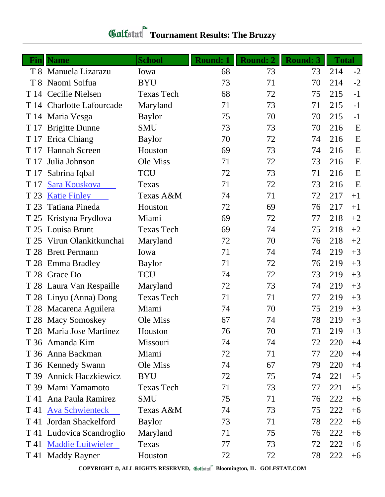| <u>Fin</u> | <b>Name</b>               | <b>School</b>     | <b>Round: 1</b> | <b>Round: 2</b> | <b>Round: 3</b> | <b>Total</b> |      |
|------------|---------------------------|-------------------|-----------------|-----------------|-----------------|--------------|------|
|            | T 8 Manuela Lizarazu      | Iowa              | 68              | 73              | 73              | 214          | $-2$ |
|            | T 8 Naomi Soifua          | <b>BYU</b>        | 73              | 71              | 70              | 214          | $-2$ |
|            | T 14 Cecilie Nielsen      | <b>Texas Tech</b> | 68              | 72              | 75              | 215          | $-1$ |
|            | T 14 Charlotte Lafourcade | Maryland          | 71              | 73              | 71              | 215          | $-1$ |
|            | T 14 Maria Vesga          | <b>Baylor</b>     | 75              | 70              | 70              | 215          | $-1$ |
| T 17       | <b>Brigitte Dunne</b>     | <b>SMU</b>        | 73              | 73              | 70              | 216          | E    |
| T 17       | Erica Chiang              | <b>Baylor</b>     | 70              | 72              | 74              | 216          | E    |
| T 17       | Hannah Screen             | Houston           | 69              | 73              | 74              | 216          | E    |
| T 17       | Julia Johnson             | Ole Miss          | 71              | 72              | 73              | 216          | E    |
| T 17       | Sabrina Iqbal             | <b>TCU</b>        | 72              | 73              | 71              | 216          | E    |
| T 17       | Sara Kouskova             | Texas             | 71              | 72              | 73              | 216          | E    |
| T 23       | <b>Katie Finley</b>       | Texas A&M         | 74              | 71              | 72              | 217          | $+1$ |
| T 23       | Tatiana Pineda            | Houston           | 72              | 69              | 76              | 217          | $+1$ |
|            | T 25 Kristyna Frydlova    | Miami             | 69              | 72              | 77              | 218          | $+2$ |
| T 25       | Louisa Brunt              | <b>Texas Tech</b> | 69              | 74              | 75              | 218          | $+2$ |
|            | T 25 Virun Olankitkunchai | Maryland          | 72              | 70              | 76              | 218          | $+2$ |
| T 28       | <b>Brett Permann</b>      | Iowa              | 71              | 74              | 74              | 219          | $+3$ |
|            | T 28 Emma Bradley         | <b>Baylor</b>     | 71              | 72              | 76              | 219          | $+3$ |
|            | T 28 Grace Do             | <b>TCU</b>        | 74              | 72              | 73              | 219          | $+3$ |
|            | T 28 Laura Van Respaille  | Maryland          | 72              | 73              | 74              | 219          | $+3$ |
|            | T 28 Linyu (Anna) Dong    | <b>Texas Tech</b> | 71              | 71              | 77              | 219          | $+3$ |
|            | T 28 Macarena Aguilera    | Miami             | 74              | 70              | 75              | 219          | $+3$ |
|            | T 28 Macy Somoskey        | Ole Miss          | 67              | 74              | 78              | 219          | $+3$ |
|            | T 28 Maria Jose Martinez  | Houston           | 76              | 70              | 73              | 219          | $+3$ |
|            | T 36 Amanda Kim           | Missouri          | 74              | 74              | 72              | 220          | $+4$ |
|            | T 36 Anna Backman         | Miami             | 72              | 71              | 77              | 220          | $+4$ |
|            | T 36 Kennedy Swann        | Ole Miss          | 74              | 67              | 79              | 220          | $+4$ |
|            | T 39 Annick Haczkiewicz   | <b>BYU</b>        | 72              | 75              | 74              | 221          | $+5$ |
|            | T 39 Mami Yamamoto        | <b>Texas Tech</b> | 71              | 73              | 77              | 221          | $+5$ |
| T 41       | Ana Paula Ramirez         | <b>SMU</b>        | 75              | 71              | 76              | 222          | $+6$ |
| T 41       | <b>Ava Schwienteck</b>    | Texas A&M         | 74              | 73              | 75              | 222          | $+6$ |
| T 41       | Jordan Shackelford        | <b>Baylor</b>     | 73              | 71              | 78              | 222          | $+6$ |
| T 41       | Ludovica Scandroglio      | Maryland          | 71              | 75              | 76              | 222          | $+6$ |
| T 41       | <b>Maddie Luitwieler</b>  | Texas             | 77              | 73              | 72              | 222          | $+6$ |
|            | T 41 Maddy Rayner         | Houston           | 72              | 72              | 78              | 222          | $+6$ |

**COPYRIGHT ©, ALL RIGHTS RESERVED, Bloomington, IL GOLFSTAT.COM**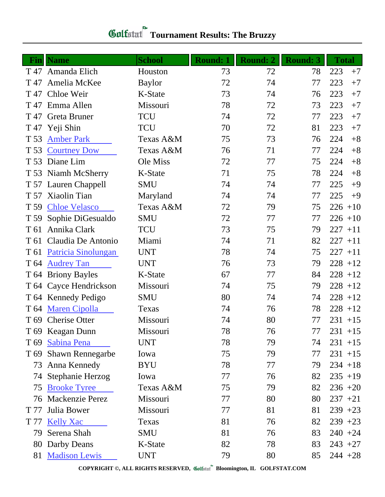| Fin             | <b>Name</b>             | <b>School</b> | <b>Round: 1</b> | <b>Round: 2</b> | <b>Round: 3</b> | <b>Total</b> |
|-----------------|-------------------------|---------------|-----------------|-----------------|-----------------|--------------|
| T 47            | Amanda Elich            | Houston       | 73              | 72              | 78              | 223<br>$+7$  |
| T 47            | Amelia McKee            | <b>Baylor</b> | 72              | 74              | 77              | 223<br>$+7$  |
| T 47            | Chloe Weir              | K-State       | 73              | 74              | 76              | 223<br>$+7$  |
|                 | T 47 Emma Allen         | Missouri      | 78              | 72              | 73              | 223<br>$+7$  |
|                 | T 47 Greta Bruner       | <b>TCU</b>    | 74              | 72              | 77              | 223<br>$+7$  |
|                 | T 47 Yeji Shin          | <b>TCU</b>    | 70              | 72              | 81              | 223<br>$+7$  |
| T 53            | <b>Amber Park</b>       | Texas A&M     | 75              | 73              | 76              | 224<br>$+8$  |
| T 53            | <b>Courtney Dow</b>     | Texas A&M     | 76              | 71              | 77              | $+8$<br>224  |
| T 53            | Diane Lim               | Ole Miss      | 72              | 77              | 75              | $+8$<br>224  |
|                 | T 53 Niamh McSherry     | K-State       | 71              | 75              | 78              | 224<br>$+8$  |
|                 | T 57 Lauren Chappell    | <b>SMU</b>    | 74              | 74              | 77              | 225<br>$+9$  |
|                 | T 57 Xiaolin Tian       | Maryland      | 74              | 74              | 77              | 225<br>$+9$  |
| T 59            | <b>Chloe Velasco</b>    | Texas A&M     | 72              | 79              | 75              | $226 + 10$   |
| T 59            | Sophie DiGesualdo       | <b>SMU</b>    | 72              | 77              | 77              | $226 + 10$   |
| T <sub>61</sub> | Annika Clark            | <b>TCU</b>    | 73              | 75              | 79              | $227 + 11$   |
|                 | T 61 Claudia De Antonio | Miami         | 74              | 71              | 82              | $227 + 11$   |
| T 61            | Patricia Sinolungan     | <b>UNT</b>    | 78              | 74              | 75              | $227 + 11$   |
| T 64            | <b>Audrey Tan</b>       | <b>UNT</b>    | 76              | 73              | 79              | $228 + 12$   |
| T 64            | <b>Briony Bayles</b>    | K-State       | 67              | 77              | 84              | $228 + 12$   |
|                 | T 64 Cayce Hendrickson  | Missouri      | 74              | 75              | 79              | $228 + 12$   |
|                 | T 64 Kennedy Pedigo     | <b>SMU</b>    | 80              | 74              | 74              | $228 + 12$   |
|                 | T 64 Maren Cipolla      | Texas         | 74              | 76              | 78              | $228 + 12$   |
|                 | T 69 Cherise Otter      | Missouri      | 74              | 80              | 77              | $231 + 15$   |
|                 | T 69 Keagan Dunn        | Missouri      | 78              | 76              | 77              | $231 + 15$   |
|                 | T 69 Sabina Pena        | <b>UNT</b>    | 78              | 79              | 74              | $231 + 15$   |
| T 69            | <b>Shawn Rennegarbe</b> | Iowa          | 75              | 79              | 77              | $231 + 15$   |
|                 | 73 Anna Kennedy         | <b>BYU</b>    | 78              | 77              | 79              | $234 + 18$   |
|                 | 74 Stephanie Herzog     | Iowa          | 77              | 76              | 82              | $235 + 19$   |
|                 | 75 Brooke Tyree         | Texas A&M     | 75              | 79              | 82              | $236 + 20$   |
|                 | 76 Mackenzie Perez      | Missouri      | 77              | 80              | 80              | $237 + 21$   |
| T 77            | Julia Bower             | Missouri      | 77              | 81              | 81              | $239 + 23$   |
| T 77            | <b>Kelly Xac</b>        | Texas         | 81              | 76              | 82              | $239 + 23$   |
|                 | 79 Serena Shah          | <b>SMU</b>    | 81              | 76              | 83              | $240 + 24$   |
|                 | 80 Darby Deans          | K-State       | 82              | 78              | 83              | $243 + 27$   |
|                 | 81 Madison Lewis        | <b>UNT</b>    | 79              | 80              | 85              | $244 + 28$   |

## *Gulfatat* Tournament Results: The Bruzzy